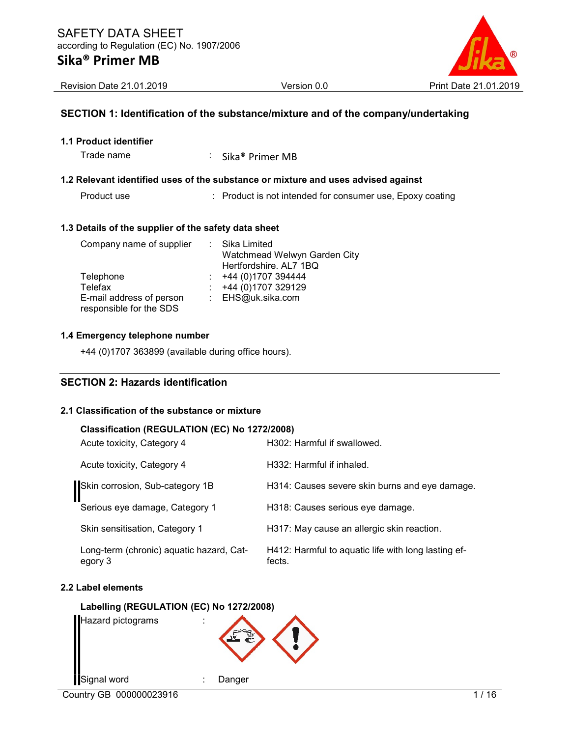

Revision Date 21.01.2019 Version 0.0 Print Date 21.01.2019

### SECTION 1: Identification of the substance/mixture and of the company/undertaking

|  |  |  |  |  | <b>1.1 Product identifier</b> |  |
|--|--|--|--|--|-------------------------------|--|
|--|--|--|--|--|-------------------------------|--|

Trade name : Sika<sup>®</sup> Primer MB

## 1.2 Relevant identified uses of the substance or mixture and uses advised against

Product use : Product is not intended for consumer use, Epoxy coating

#### 1.3 Details of the supplier of the safety data sheet

| Company name of supplier | : Sika Limited               |
|--------------------------|------------------------------|
|                          | Watchmead Welwyn Garden City |
|                          | Hertfordshire. AL7 1BQ       |
| Telephone                | +44 (0)1707 394444           |
| Telefax                  | +44 (0)1707 329129           |
| E-mail address of person | : EHS@uk.sika.com            |
| responsible for the SDS  |                              |

#### 1.4 Emergency telephone number

+44 (0)1707 363899 (available during office hours).

## SECTION 2: Hazards identification

#### 2.1 Classification of the substance or mixture

#### Classification (REGULATION (EC) No 1272/2008)

| Acute toxicity, Category 4                          | H302: Harmful if swallowed.                                   |
|-----------------------------------------------------|---------------------------------------------------------------|
| Acute toxicity, Category 4                          | H332: Harmful if inhaled.                                     |
| Skin corrosion, Sub-category 1B                     | H314: Causes severe skin burns and eye damage.                |
| Serious eye damage, Category 1                      | H318: Causes serious eye damage.                              |
| Skin sensitisation, Category 1                      | H317: May cause an allergic skin reaction.                    |
| Long-term (chronic) aquatic hazard, Cat-<br>egory 3 | H412: Harmful to aquatic life with long lasting ef-<br>fects. |

#### 2.2 Label elements

#### Labelling (REGULATION (EC) No 1272/2008)

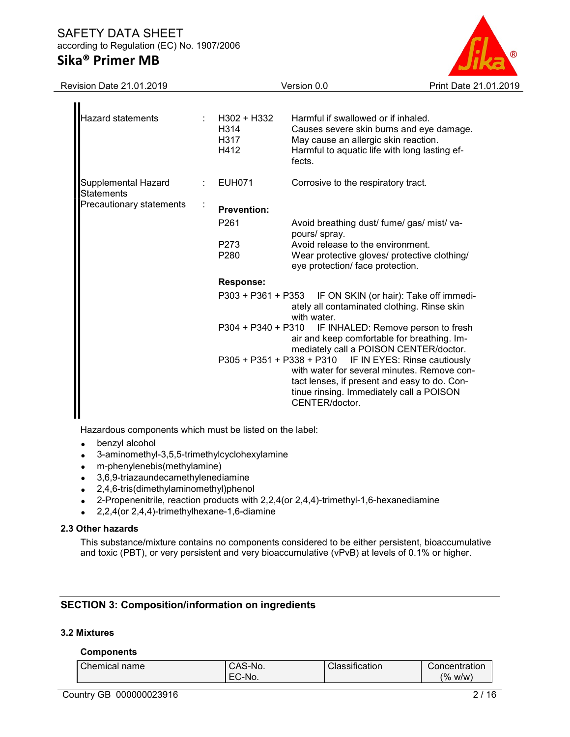

Revision Date 21.01.2019 Version 0.0 Print Date 21.01.2019

| Hazard statements                 |  | H302 + H332<br>H <sub>3</sub> 14<br>H317<br>H412 | Harmful if swallowed or if inhaled.<br>Causes severe skin burns and eye damage.<br>May cause an allergic skin reaction.<br>Harmful to aquatic life with long lasting ef-<br>fects.                                  |
|-----------------------------------|--|--------------------------------------------------|---------------------------------------------------------------------------------------------------------------------------------------------------------------------------------------------------------------------|
| Supplemental Hazard<br>Statements |  | <b>EUH071</b>                                    | Corrosive to the respiratory tract.                                                                                                                                                                                 |
| Precautionary statements          |  | <b>Prevention:</b>                               |                                                                                                                                                                                                                     |
|                                   |  | P <sub>261</sub>                                 | Avoid breathing dust/ fume/ gas/ mist/ va-<br>pours/ spray.                                                                                                                                                         |
|                                   |  | P273                                             | Avoid release to the environment.                                                                                                                                                                                   |
|                                   |  | P <sub>280</sub>                                 | Wear protective gloves/ protective clothing/<br>eye protection/ face protection.                                                                                                                                    |
|                                   |  | <b>Response:</b>                                 |                                                                                                                                                                                                                     |
|                                   |  | P303 + P361 + P353                               | IF ON SKIN (or hair): Take off immedi-<br>ately all contaminated clothing. Rinse skin<br>with water.                                                                                                                |
|                                   |  | P304 + P340 + P310                               | IF INHALED: Remove person to fresh<br>air and keep comfortable for breathing. Im-<br>mediately call a POISON CENTER/doctor.                                                                                         |
|                                   |  |                                                  | P305 + P351 + P338 + P310 IF IN EYES: Rinse cautiously<br>with water for several minutes. Remove con-<br>tact lenses, if present and easy to do. Con-<br>tinue rinsing. Immediately call a POISON<br>CENTER/doctor. |

Hazardous components which must be listed on the label:

- benzyl alcohol
- 3-aminomethyl-3,5,5-trimethylcyclohexylamine
- m-phenylenebis(methylamine)
- 3,6,9-triazaundecamethylenediamine
- 2,4,6-tris(dimethylaminomethyl)phenol
- 2-Propenenitrile, reaction products with  $2,2,4$  (or  $2,4,4$ )-trimethyl-1,6-hexanediamine
- 2,2,4(or 2,4,4)-trimethylhexane-1,6-diamine

#### 2.3 Other hazards

This substance/mixture contains no components considered to be either persistent, bioaccumulative and toxic (PBT), or very persistent and very bioaccumulative (vPvB) at levels of 0.1% or higher.

## SECTION 3: Composition/information on ingredients

### 3.2 Mixtures

#### **Components**

| Chemical name | `S-No.<br>UAJ          | $\cdot$ $\cdot$<br>$\sim$<br>$\sim$<br>Classification | Concentration         |
|---------------|------------------------|-------------------------------------------------------|-----------------------|
|               | ∼<br>∵-No.<br>- 1<br>◡ |                                                       | $\frac{1}{2}$<br>W/W) |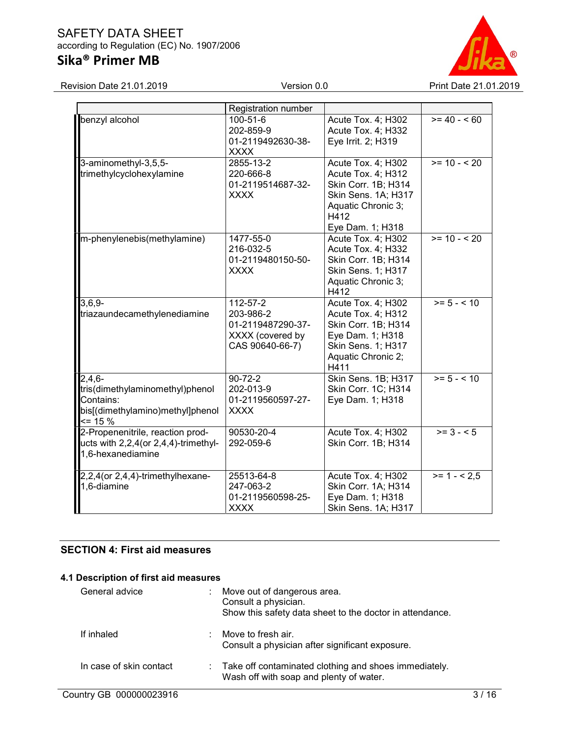# Sika® Primer MB



|                                                                                                             | Registration number                                                                     |                                                                                                                                          |                       |
|-------------------------------------------------------------------------------------------------------------|-----------------------------------------------------------------------------------------|------------------------------------------------------------------------------------------------------------------------------------------|-----------------------|
| benzyl alcohol                                                                                              | 100-51-6<br>202-859-9<br>01-2119492630-38-<br><b>XXXX</b>                               | Acute Tox. 4; H302<br>Acute Tox. 4; H332<br>Eye Irrit. 2; H319                                                                           | $>= 40 - 60$          |
| 3-aminomethyl-3,5,5-<br>trimethylcyclohexylamine                                                            | 2855-13-2<br>220-666-8<br>01-2119514687-32-<br><b>XXXX</b>                              | Acute Tox. 4; H302<br>Acute Tox. 4; H312<br>Skin Corr. 1B; H314<br>Skin Sens. 1A; H317<br>Aquatic Chronic 3;<br>H412<br>Eye Dam. 1; H318 | $>= 10 - 520$         |
| m-phenylenebis(methylamine)                                                                                 | 1477-55-0<br>216-032-5<br>01-2119480150-50-<br><b>XXXX</b>                              | Acute Tox. 4; H302<br>Acute Tox. 4; H332<br>Skin Corr. 1B; H314<br>Skin Sens. 1; H317<br>Aquatic Chronic 3;<br>H412                      | $>= 10 - 520$         |
| $3,6,9-$<br>triazaundecamethylenediamine                                                                    | $112 - 57 - 2$<br>203-986-2<br>01-2119487290-37-<br>XXXX (covered by<br>CAS 90640-66-7) | Acute Tox. 4; H302<br>Acute Tox. 4; H312<br>Skin Corr. 1B; H314<br>Eye Dam. 1; H318<br>Skin Sens. 1; H317<br>Aquatic Chronic 2;<br>H411  | $>= 5 - 10$           |
| $2,4,6-$<br>tris(dimethylaminomethyl)phenol<br>Contains:<br>bis[(dimethylamino)methyl]phenol<br>$\leq$ 15 % | $90 - 72 - 2$<br>202-013-9<br>01-2119560597-27-<br><b>XXXX</b>                          | Skin Sens. 1B; H317<br>Skin Corr. 1C; H314<br>Eye Dam. 1; H318                                                                           | $>= 5 - 10$           |
| 2-Propenenitrile, reaction prod-<br>ucts with 2,2,4(or 2,4,4)-trimethyl-<br>1,6-hexanediamine               | 90530-20-4<br>292-059-6                                                                 | Acute Tox. 4; H302<br>Skin Corr. 1B; H314                                                                                                | $\overline{>= 3 - 5}$ |
| 2,2,4(or 2,4,4)-trimethylhexane-<br>1,6-diamine                                                             | 25513-64-8<br>247-063-2<br>01-2119560598-25-<br><b>XXXX</b>                             | Acute Tox. 4; H302<br>Skin Corr. 1A; H314<br>Eye Dam. 1; H318<br>Skin Sens. 1A; H317                                                     | $>= 1 - 2.5$          |

## SECTION 4: First aid measures

#### 4.1 Description of first aid measures

| General advice          | ÷. | Move out of dangerous area.<br>Consult a physician.<br>Show this safety data sheet to the doctor in attendance. |
|-------------------------|----|-----------------------------------------------------------------------------------------------------------------|
| If inhaled              | ٠. | Move to fresh air.<br>Consult a physician after significant exposure.                                           |
| In case of skin contact |    | : Take off contaminated clothing and shoes immediately.<br>Wash off with soap and plenty of water.              |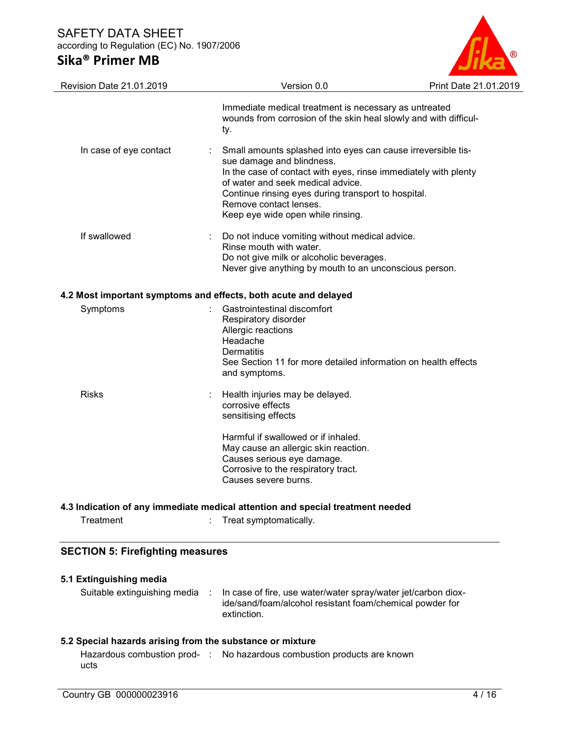# Sika® Primer MB



| Revision Date 21.01.2019                                        | Version 0.0                                                                                                                                                                                                                                                                                                             | Print Date 21.01.2019 |
|-----------------------------------------------------------------|-------------------------------------------------------------------------------------------------------------------------------------------------------------------------------------------------------------------------------------------------------------------------------------------------------------------------|-----------------------|
|                                                                 | Immediate medical treatment is necessary as untreated<br>wounds from corrosion of the skin heal slowly and with difficul-<br>ty.                                                                                                                                                                                        |                       |
| In case of eye contact                                          | Small amounts splashed into eyes can cause irreversible tis-<br>sue damage and blindness.<br>In the case of contact with eyes, rinse immediately with plenty<br>of water and seek medical advice.<br>Continue rinsing eyes during transport to hospital.<br>Remove contact lenses.<br>Keep eye wide open while rinsing. |                       |
| If swallowed                                                    | Do not induce vomiting without medical advice.<br>Rinse mouth with water.<br>Do not give milk or alcoholic beverages.<br>Never give anything by mouth to an unconscious person.                                                                                                                                         |                       |
| 4.2 Most important symptoms and effects, both acute and delayed |                                                                                                                                                                                                                                                                                                                         |                       |
| Symptoms                                                        | Gastrointestinal discomfort<br>Respiratory disorder<br>Allergic reactions<br>Headache<br><b>Dermatitis</b><br>See Section 11 for more detailed information on health effects<br>and symptoms.                                                                                                                           |                       |
| <b>Risks</b>                                                    | Health injuries may be delayed.<br>corrosive effects<br>sensitising effects<br>Harmful if swallowed or if inhaled.<br>May cause an allergic skin reaction.<br>Causes serious eye damage.                                                                                                                                |                       |
|                                                                 | Corrosive to the respiratory tract.<br>Causes severe burns.<br>المواجعون فسومسه ومراوا والموعوم المعرم ويماله ويتلق المواليومير وخوال ومسميا يربعونكم ويمالهما المعراري                                                                                                                                                 |                       |

#### 4.3 Indication of any immediate medical attention and special treatment needed

## SECTION 5: Firefighting measures

| 5.1 Extinguishing media                                   |                                                                                                                                          |
|-----------------------------------------------------------|------------------------------------------------------------------------------------------------------------------------------------------|
| Suitable extinguishing media :                            | In case of fire, use water/water spray/water jet/carbon diox-<br>ide/sand/foam/alcohol resistant foam/chemical powder for<br>extinction. |
| 5.2 Special hazards arising from the substance or mixture |                                                                                                                                          |
| ucts                                                      | Hazardous combustion prod- : No hazardous combustion products are known                                                                  |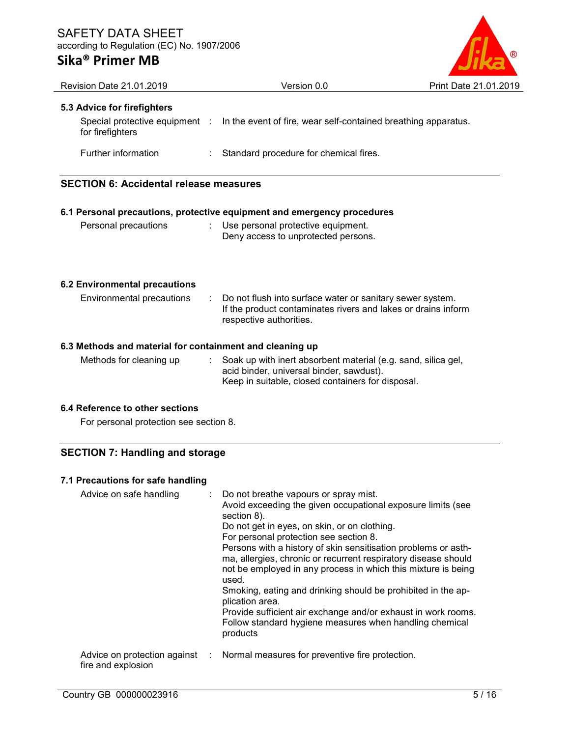## Sika® Primer MB



| <b>Revision Date 21.01.2019</b>                          |   | Version 0.0                                                                                                                                                    | Print Date 21.01.2019 |
|----------------------------------------------------------|---|----------------------------------------------------------------------------------------------------------------------------------------------------------------|-----------------------|
| 5.3 Advice for firefighters                              |   |                                                                                                                                                                |                       |
| Special protective equipment :<br>for firefighters       |   | In the event of fire, wear self-contained breathing apparatus.                                                                                                 |                       |
| Further information                                      |   | Standard procedure for chemical fires.                                                                                                                         |                       |
| <b>SECTION 6: Accidental release measures</b>            |   |                                                                                                                                                                |                       |
|                                                          |   | 6.1 Personal precautions, protective equipment and emergency procedures                                                                                        |                       |
| Personal precautions                                     |   | : Use personal protective equipment.<br>Deny access to unprotected persons.                                                                                    |                       |
| <b>6.2 Environmental precautions</b>                     |   |                                                                                                                                                                |                       |
| Environmental precautions                                | ÷ | Do not flush into surface water or sanitary sewer system.<br>If the product contaminates rivers and lakes or drains inform<br>respective authorities.          |                       |
| 6.3 Methods and material for containment and cleaning up |   |                                                                                                                                                                |                       |
| Methods for cleaning up                                  |   | Soak up with inert absorbent material (e.g. sand, silica gel,<br>acid binder, universal binder, sawdust).<br>Keep in suitable, closed containers for disposal. |                       |

## 6.4 Reference to other sections

For personal protection see section 8.

## SECTION 7: Handling and storage

### 7.1 Precautions for safe handling

| Advice on safe handling                              | : Do not breathe vapours or spray mist.<br>Avoid exceeding the given occupational exposure limits (see<br>section 8).<br>Do not get in eyes, on skin, or on clothing.<br>For personal protection see section 8.<br>Persons with a history of skin sensitisation problems or asth-<br>ma, allergies, chronic or recurrent respiratory disease should<br>not be employed in any process in which this mixture is being<br>used.<br>Smoking, eating and drinking should be prohibited in the ap-<br>plication area.<br>Provide sufficient air exchange and/or exhaust in work rooms.<br>Follow standard hygiene measures when handling chemical<br>products |
|------------------------------------------------------|----------------------------------------------------------------------------------------------------------------------------------------------------------------------------------------------------------------------------------------------------------------------------------------------------------------------------------------------------------------------------------------------------------------------------------------------------------------------------------------------------------------------------------------------------------------------------------------------------------------------------------------------------------|
| Advice on protection against :<br>fire and explosion | Normal measures for preventive fire protection.                                                                                                                                                                                                                                                                                                                                                                                                                                                                                                                                                                                                          |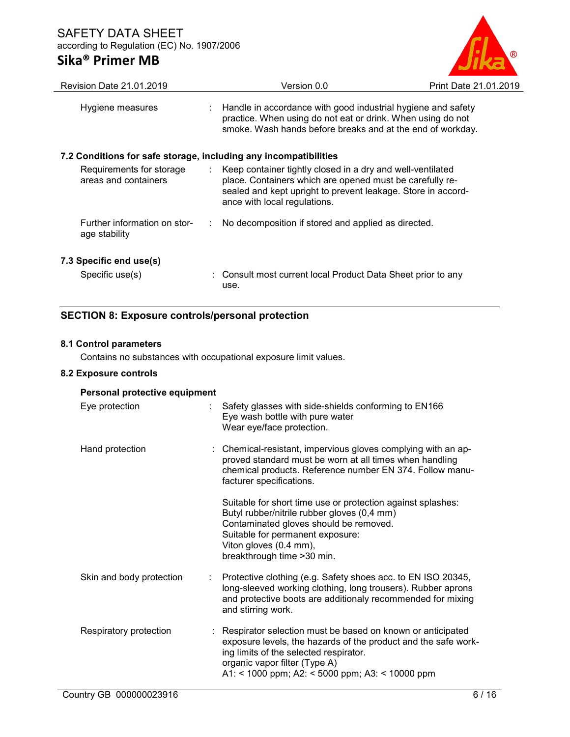

| Revision Date 21.01.2019                                         | Version 0.0                                                                                                                                                                                                              | Print Date 21.01.2019 |
|------------------------------------------------------------------|--------------------------------------------------------------------------------------------------------------------------------------------------------------------------------------------------------------------------|-----------------------|
| Hygiene measures                                                 | : Handle in accordance with good industrial hygiene and safety<br>practice. When using do not eat or drink. When using do not<br>smoke. Wash hands before breaks and at the end of workday.                              |                       |
| 7.2 Conditions for safe storage, including any incompatibilities |                                                                                                                                                                                                                          |                       |
| Requirements for storage<br>areas and containers                 | : Keep container tightly closed in a dry and well-ventilated<br>place. Containers which are opened must be carefully re-<br>sealed and kept upright to prevent leakage. Store in accord-<br>ance with local regulations. |                       |
| Further information on stor-<br>age stability                    | No decomposition if stored and applied as directed.                                                                                                                                                                      |                       |
| 7.3 Specific end use(s)                                          |                                                                                                                                                                                                                          |                       |
| Specific use(s)                                                  | : Consult most current local Product Data Sheet prior to any<br>use.                                                                                                                                                     |                       |

## SECTION 8: Exposure controls/personal protection

## 8.1 Control parameters

Contains no substances with occupational exposure limit values.

### 8.2 Exposure controls

| Personal protective equipment |                                                                                                                                                                                                                                                            |  |  |  |
|-------------------------------|------------------------------------------------------------------------------------------------------------------------------------------------------------------------------------------------------------------------------------------------------------|--|--|--|
| Eye protection<br>t in        | Safety glasses with side-shields conforming to EN166<br>Eye wash bottle with pure water<br>Wear eye/face protection.                                                                                                                                       |  |  |  |
| Hand protection               | : Chemical-resistant, impervious gloves complying with an ap-<br>proved standard must be worn at all times when handling<br>chemical products. Reference number EN 374. Follow manu-<br>facturer specifications.                                           |  |  |  |
|                               | Suitable for short time use or protection against splashes:<br>Butyl rubber/nitrile rubber gloves (0,4 mm)<br>Contaminated gloves should be removed.<br>Suitable for permanent exposure:<br>Viton gloves (0.4 mm),<br>breakthrough time > 30 min.          |  |  |  |
| Skin and body protection<br>÷ | Protective clothing (e.g. Safety shoes acc. to EN ISO 20345,<br>long-sleeved working clothing, long trousers). Rubber aprons<br>and protective boots are additionaly recommended for mixing<br>and stirring work.                                          |  |  |  |
| Respiratory protection        | Respirator selection must be based on known or anticipated<br>exposure levels, the hazards of the product and the safe work-<br>ing limits of the selected respirator.<br>organic vapor filter (Type A)<br>A1: < 1000 ppm; A2: < 5000 ppm; A3: < 10000 ppm |  |  |  |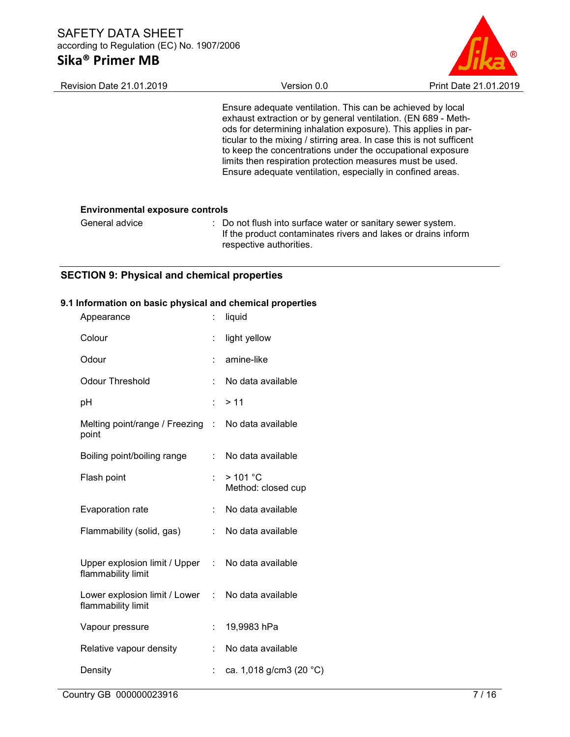

| <b>Revision Date 21.01.2019</b>        | Version 0.0                                                                                                                                                                                                                                                                                                                                                                                                                                                    | Print Date 21.01.2019 |  |
|----------------------------------------|----------------------------------------------------------------------------------------------------------------------------------------------------------------------------------------------------------------------------------------------------------------------------------------------------------------------------------------------------------------------------------------------------------------------------------------------------------------|-----------------------|--|
|                                        | Ensure adequate ventilation. This can be achieved by local<br>exhaust extraction or by general ventilation. (EN 689 - Meth-<br>ods for determining inhalation exposure). This applies in par-<br>ticular to the mixing / stirring area. In case this is not sufficent<br>to keep the concentrations under the occupational exposure<br>limits then respiration protection measures must be used.<br>Ensure adequate ventilation, especially in confined areas. |                       |  |
| <b>Environmental exposure controls</b> |                                                                                                                                                                                                                                                                                                                                                                                                                                                                |                       |  |
| General advice                         | : Do not flush into surface water or sanitary sewer system.<br>If the product contaminates rivers and lakes or drains inform<br>respective authorities.                                                                                                                                                                                                                                                                                                        |                       |  |

## SECTION 9: Physical and chemical properties

## 9.1 Information on basic physical and chemical properties

|    | liquid                                             |
|----|----------------------------------------------------|
| ÷  | light yellow                                       |
|    | amine-like                                         |
| ÷  | No data available                                  |
| ÷  | >11                                                |
|    | Melting point/range / Freezing : No data available |
| t. | No data available                                  |
| ٠. | > 101 °C<br>Method: closed cup                     |
| ÷. | No data available                                  |
| t. | No data available                                  |
|    | Upper explosion limit / Upper : No data available  |
|    | Lower explosion limit / Lower : No data available  |
| ÷  | 19,9983 hPa                                        |
| ÷  | No data available                                  |
|    | ca. 1,018 g/cm3 (20 $^{\circ}$ C)                  |
|    |                                                    |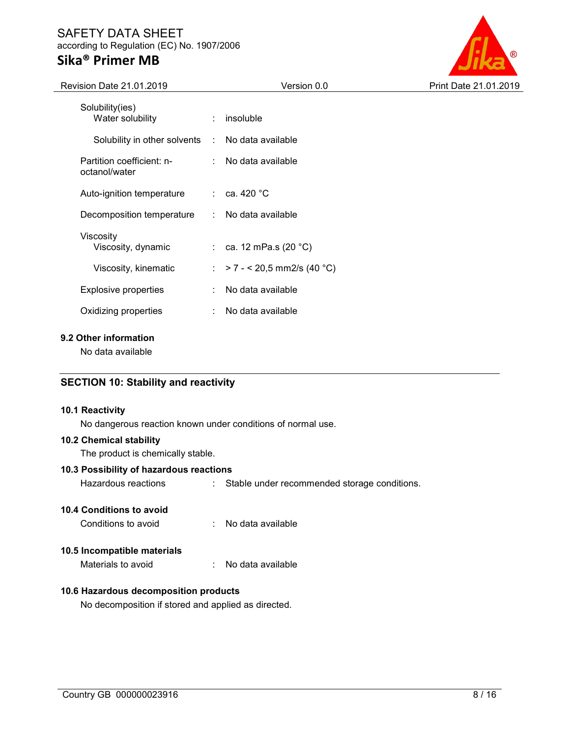# Sika® Primer MB

 $\overline{a}$ 



| Revision Date 21.01.2019                   | Version 0.0                  | Print Date 21.01.2019 |
|--------------------------------------------|------------------------------|-----------------------|
| Solubility(ies)<br>Water solubility<br>÷   | insoluble                    |                       |
| Solubility in other solvents :             | No data available            |                       |
| Partition coefficient: n-<br>octanol/water | No data available            |                       |
| Auto-ignition temperature<br>÷.            | ca. 420 °C                   |                       |
| Decomposition temperature                  | : No data available          |                       |
| Viscosity<br>Viscosity, dynamic            | : ca. 12 mPa.s $(20 °C)$     |                       |
| Viscosity, kinematic                       | : > 7 - < 20,5 mm2/s (40 °C) |                       |
| <b>Explosive properties</b>                | No data available            |                       |
| Oxidizing properties                       | No data available            |                       |

## 9.2 Other information

No data available

## SECTION 10: Stability and reactivity

#### 10.1 Reactivity

No dangerous reaction known under conditions of normal use.

### 10.2 Chemical stability

The product is chemically stable.

### 10.3 Possibility of hazardous reactions

Hazardous reactions : Stable under recommended storage conditions.

#### 10.4 Conditions to avoid

| Conditions to avoid |  | No data available |
|---------------------|--|-------------------|
|---------------------|--|-------------------|

### 10.5 Incompatible materials

Materials to avoid : No data available

### 10.6 Hazardous decomposition products

No decomposition if stored and applied as directed.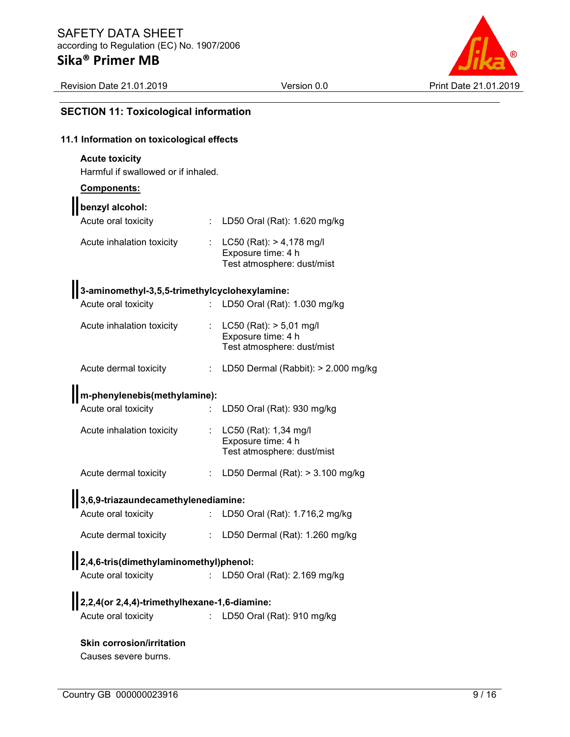

## SECTION 11: Toxicological information

## 11.1 Information on toxicological effects

## Acute toxicity

Harmful if swallowed or if inhaled.

### Components:

| benzyl alcohol:                                          |    |                                                                                 |
|----------------------------------------------------------|----|---------------------------------------------------------------------------------|
| Acute oral toxicity                                      | ÷  | LD50 Oral (Rat): 1.620 mg/kg                                                    |
| Acute inhalation toxicity                                |    | LC50 (Rat): > 4,178 mg/l<br>Exposure time: 4 h<br>Test atmosphere: dust/mist    |
| 3-aminomethyl-3,5,5-trimethylcyclohexylamine:            |    |                                                                                 |
| Acute oral toxicity                                      | ÷. | LD50 Oral (Rat): 1.030 mg/kg                                                    |
| Acute inhalation toxicity                                |    | $LC50$ (Rat): $> 5,01$ mg/l<br>Exposure time: 4 h<br>Test atmosphere: dust/mist |
| Acute dermal toxicity                                    | ÷  | LD50 Dermal (Rabbit): > 2.000 mg/kg                                             |
| m-phenylenebis(methylamine):                             |    |                                                                                 |
| Acute oral toxicity                                      |    | LD50 Oral (Rat): 930 mg/kg                                                      |
| Acute inhalation toxicity                                |    | LC50 (Rat): 1,34 mg/l<br>Exposure time: 4 h<br>Test atmosphere: dust/mist       |
| Acute dermal toxicity                                    | ÷  | LD50 Dermal (Rat): $>$ 3.100 mg/kg                                              |
| 3,6,9-triazaundecamethylenediamine:                      |    |                                                                                 |
| Acute oral toxicity                                      |    | LD50 Oral (Rat): 1.716,2 mg/kg                                                  |
| Acute dermal toxicity                                    |    | LD50 Dermal (Rat): 1.260 mg/kg                                                  |
| 2,4,6-tris(dimethylaminomethyl)phenol:                   |    |                                                                                 |
| Acute oral toxicity                                      |    | LD50 Oral (Rat): 2.169 mg/kg                                                    |
| 2,2,4(or 2,4,4)-trimethylhexane-1,6-diamine:             |    |                                                                                 |
| Acute oral toxicity                                      |    | LD50 Oral (Rat): 910 mg/kg                                                      |
| <b>Skin corrosion/irritation</b><br>Causes severe burns. |    |                                                                                 |

Country GB 000000023916 9/16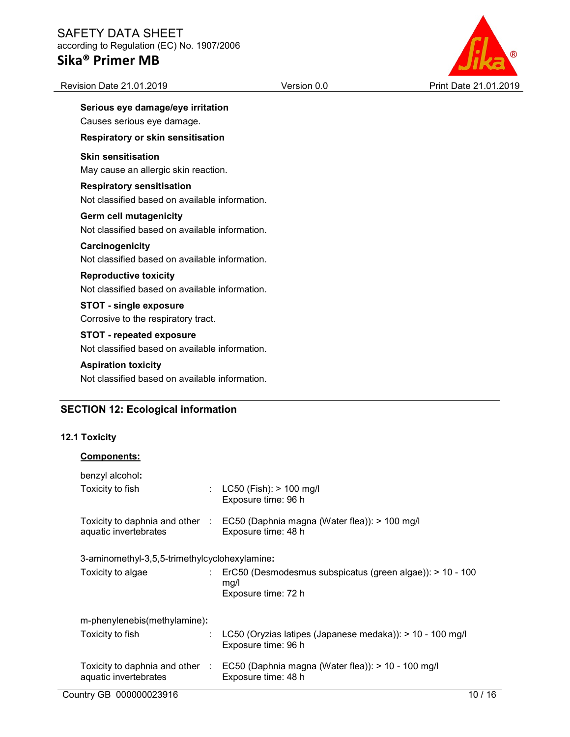# Sika® Primer MB

Revision Date 21.01.2019

| <b>ETY DATA SHEET</b><br>ding to Regulation (EC) No. 1907/2006  |             |                       |
|-----------------------------------------------------------------|-------------|-----------------------|
| a® Primer MB                                                    |             |                       |
| sion Date 21.01.2019                                            | Version 0.0 | Print Date 21.01.2019 |
| Serious eye damage/eye irritation<br>Causes serious eye damage. |             |                       |
| Respiratory or skin sensitisation                               |             |                       |
| <b>Skin sensitisation</b>                                       |             |                       |
| May cause an allergic skin reaction.                            |             |                       |
| <b>Respiratory sensitisation</b>                                |             |                       |
| Not classified based on available information.                  |             |                       |
| <b>Germ cell mutagenicity</b>                                   |             |                       |
|                                                                 |             |                       |

Not classified based on available information.

#### **Carcinogenicity** Not classified based on available information.

Reproductive toxicity Not classified based on available information.

### STOT - single exposure Corrosive to the respiratory tract.

STOT - repeated exposure Not classified based on available information.

### Aspiration toxicity

Not classified based on available information.

## SECTION 12: Ecological information

## 12.1 Toxicity

| <b>Components:</b>                            |                                                                                                           |
|-----------------------------------------------|-----------------------------------------------------------------------------------------------------------|
| benzyl alcohol:                               |                                                                                                           |
| Toxicity to fish<br>÷                         | $LC50$ (Fish): $> 100$ mg/l<br>Exposure time: 96 h                                                        |
| aquatic invertebrates                         | Toxicity to daphnia and other : EC50 (Daphnia magna (Water flea)): > 100 mg/l<br>Exposure time: 48 h      |
| 3-aminomethyl-3,5,5-trimethylcyclohexylamine: |                                                                                                           |
| Toxicity to algae                             | $\therefore$ ErC50 (Desmodesmus subspicatus (green algae)): > 10 - 100<br>mg/l<br>Exposure time: 72 h     |
| m-phenylenebis(methylamine):                  |                                                                                                           |
| Toxicity to fish                              | LC50 (Oryzias latipes (Japanese medaka)): $> 10 - 100$ mg/l<br>Exposure time: 96 h                        |
| aquatic invertebrates                         | Toxicity to daphnia and other : EC50 (Daphnia magna (Water flea)): > 10 - 100 mg/l<br>Exposure time: 48 h |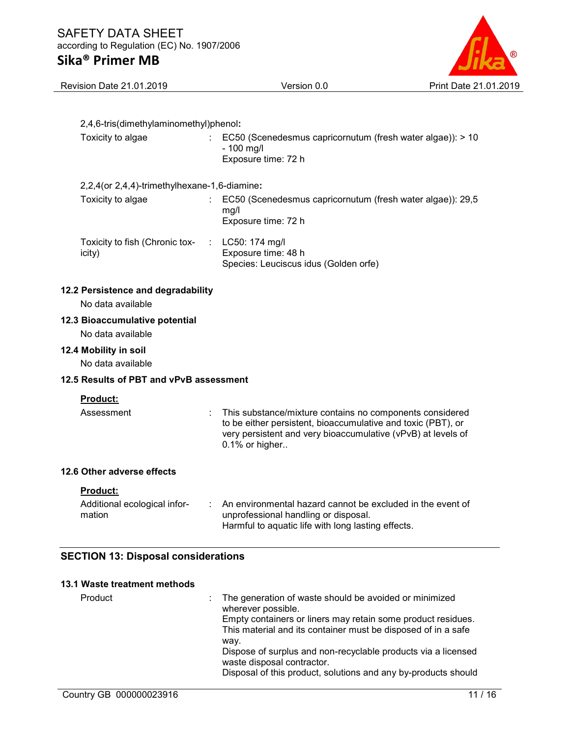

| Revision Date 21.01.2019                                | Version 0.0                                                                                                                                                                                                | Print Date 21.01.2019 |
|---------------------------------------------------------|------------------------------------------------------------------------------------------------------------------------------------------------------------------------------------------------------------|-----------------------|
|                                                         |                                                                                                                                                                                                            |                       |
| 2,4,6-tris(dimethylaminomethyl)phenol:                  |                                                                                                                                                                                                            |                       |
| Toxicity to algae                                       | EC50 (Scenedesmus capricornutum (fresh water algae)): > 10<br>- 100 mg/l<br>Exposure time: 72 h                                                                                                            |                       |
| 2,2,4 (or 2,4,4)-trimethylhexane-1,6-diamine:           |                                                                                                                                                                                                            |                       |
| Toxicity to algae                                       | EC50 (Scenedesmus capricornutum (fresh water algae)): 29,5<br>mg/l<br>Exposure time: 72 h                                                                                                                  |                       |
| Toxicity to fish (Chronic tox-<br>icity)                | LC50: 174 mg/l<br>Exposure time: 48 h<br>Species: Leuciscus idus (Golden orfe)                                                                                                                             |                       |
| 12.2 Persistence and degradability<br>No data available |                                                                                                                                                                                                            |                       |
| 12.3 Bioaccumulative potential<br>No data available     |                                                                                                                                                                                                            |                       |
| 12.4 Mobility in soil                                   |                                                                                                                                                                                                            |                       |
| No data available                                       |                                                                                                                                                                                                            |                       |
| 12.5 Results of PBT and vPvB assessment                 |                                                                                                                                                                                                            |                       |
| <b>Product:</b><br>Assessment                           | This substance/mixture contains no components considered<br>to be either persistent, bioaccumulative and toxic (PBT), or<br>very persistent and very bioaccumulative (vPvB) at levels of<br>0.1% or higher |                       |
| 12.6 Other adverse effects                              |                                                                                                                                                                                                            |                       |
| <b>Product:</b>                                         |                                                                                                                                                                                                            |                       |
| Additional ecological infor-<br>mation                  | An environmental hazard cannot be excluded in the event of<br>unprofessional handling or disposal.<br>Harmful to aquatic life with long lasting effects.                                                   |                       |
| <b>SECTION 13: Disposal considerations</b>              |                                                                                                                                                                                                            |                       |
| 13.1 Waste treatment methods                            |                                                                                                                                                                                                            |                       |
| Product                                                 | The generation of waste should be avoided or minimized                                                                                                                                                     |                       |

| Product | : The generation of waste should be avoided or minimized<br>wherever possible.<br>Empty containers or liners may retain some product residues. |
|---------|------------------------------------------------------------------------------------------------------------------------------------------------|
|         | This material and its container must be disposed of in a safe<br>way.                                                                          |
|         | Dispose of surplus and non-recyclable products via a licensed<br>waste disposal contractor.                                                    |
|         | Disposal of this product, solutions and any by-products should                                                                                 |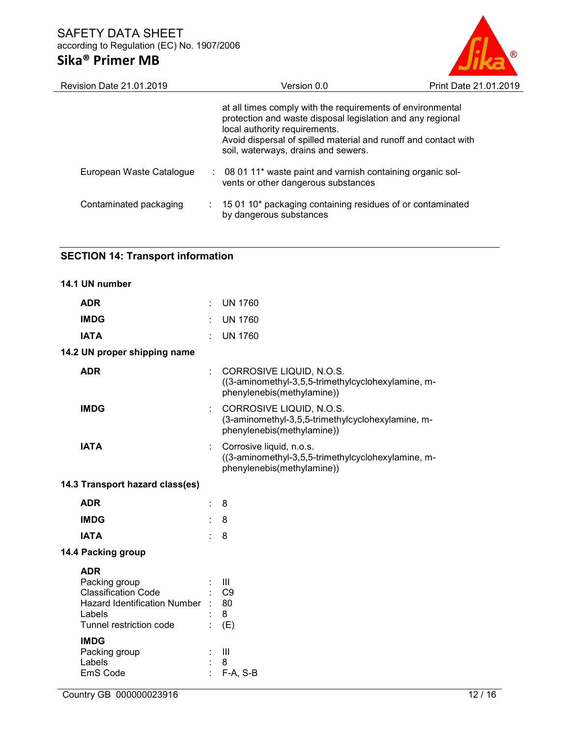

| Version 0.0                                                                                                                                                                                                                                                         | Print Date 21.01.2019                                       |
|---------------------------------------------------------------------------------------------------------------------------------------------------------------------------------------------------------------------------------------------------------------------|-------------------------------------------------------------|
| at all times comply with the requirements of environmental<br>protection and waste disposal legislation and any regional<br>local authority requirements.<br>Avoid dispersal of spilled material and runoff and contact with<br>soil, waterways, drains and sewers. |                                                             |
| vents or other dangerous substances                                                                                                                                                                                                                                 |                                                             |
| 15 01 10* packaging containing residues of or contaminated<br>by dangerous substances                                                                                                                                                                               |                                                             |
|                                                                                                                                                                                                                                                                     | : 08 01 11* waste paint and varnish containing organic sol- |

## SECTION 14: Transport information

| 14.1 UN number                                                                                                                      |    |                                                                                                              |
|-------------------------------------------------------------------------------------------------------------------------------------|----|--------------------------------------------------------------------------------------------------------------|
| <b>ADR</b>                                                                                                                          |    | <b>UN 1760</b>                                                                                               |
| <b>IMDG</b>                                                                                                                         |    | <b>UN 1760</b>                                                                                               |
| <b>IATA</b>                                                                                                                         |    | <b>UN 1760</b>                                                                                               |
| 14.2 UN proper shipping name                                                                                                        |    |                                                                                                              |
| <b>ADR</b>                                                                                                                          | ÷  | CORROSIVE LIQUID, N.O.S.<br>((3-aminomethyl-3,5,5-trimethylcyclohexylamine, m-<br>phenylenebis(methylamine)) |
| <b>IMDG</b>                                                                                                                         |    | CORROSIVE LIQUID, N.O.S.<br>(3-aminomethyl-3,5,5-trimethylcyclohexylamine, m-<br>phenylenebis(methylamine))  |
| <b>IATA</b>                                                                                                                         | ÷. | Corrosive liquid, n.o.s.<br>((3-aminomethyl-3,5,5-trimethylcyclohexylamine, m-<br>phenylenebis(methylamine)) |
| 14.3 Transport hazard class(es)                                                                                                     |    |                                                                                                              |
| <b>ADR</b>                                                                                                                          |    | 8                                                                                                            |
| <b>IMDG</b>                                                                                                                         |    | 8                                                                                                            |
| <b>IATA</b>                                                                                                                         |    | 8                                                                                                            |
| 14.4 Packing group                                                                                                                  |    |                                                                                                              |
| <b>ADR</b><br>Packing group<br><b>Classification Code</b><br>Hazard Identification Number : 80<br>Labels<br>Tunnel restriction code |    | $\mathbf{III}$<br>$:$ C9<br>8<br>(E)                                                                         |
| <b>IMDG</b><br>Packing group<br>Labels<br>EmS Code                                                                                  |    | $\mathbf{III}$<br>8<br>$F-A, S-B$                                                                            |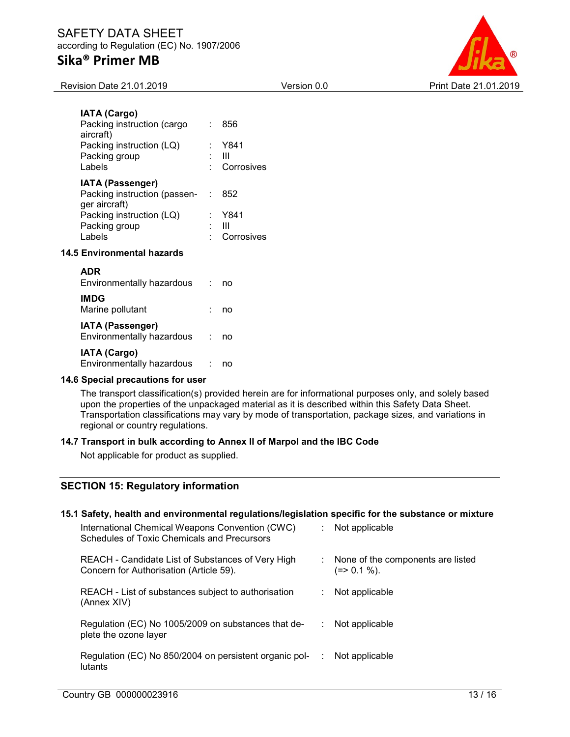

Revision Date 21.01.2019 Version 0.0 Print Date 21.01.2019

| <b>IATA (Cargo)</b><br>Packing instruction (cargo<br>aircraft)<br>Packing instruction (LQ)<br>Packing group<br>Labels           |        | 856<br>Y841<br>Ш<br>Corrosives |
|---------------------------------------------------------------------------------------------------------------------------------|--------|--------------------------------|
| <b>IATA (Passenger)</b><br>Packing instruction (passen-<br>ger aircraft)<br>Packing instruction (LQ)<br>Packing group<br>Labels | in the | 852<br>Y841<br>Ш<br>Corrosives |
| <b>14.5 Environmental hazards</b>                                                                                               |        |                                |

| <b>ADR</b><br>Environmentally hazardous              | no |
|------------------------------------------------------|----|
| <b>IMDG</b><br>Marine pollutant                      | no |
| <b>IATA (Passenger)</b><br>Environmentally hazardous | no |
| <b>IATA (Cargo)</b><br>Environmentally hazardous     |    |

#### 14.6 Special precautions for user

The transport classification(s) provided herein are for informational purposes only, and solely based upon the properties of the unpackaged material as it is described within this Safety Data Sheet. Transportation classifications may vary by mode of transportation, package sizes, and variations in regional or country regulations.

#### 14.7 Transport in bulk according to Annex II of Marpol and the IBC Code

Not applicable for product as supplied.

## SECTION 15: Regulatory information

#### 15.1 Safety, health and environmental regulations/legislation specific for the substance or mixture

| International Chemical Weapons Convention (CWC)<br>Schedules of Toxic Chemicals and Precursors |   | Not applicable                                   |
|------------------------------------------------------------------------------------------------|---|--------------------------------------------------|
| REACH - Candidate List of Substances of Very High<br>Concern for Authorisation (Article 59).   |   | None of the components are listed<br>(=> 0.1 %). |
| REACH - List of substances subject to authorisation<br>(Annex XIV)                             | ÷ | Not applicable                                   |
| Regulation (EC) No 1005/2009 on substances that de-<br>plete the ozone layer                   |   | Not applicable                                   |
| Regulation (EC) No 850/2004 on persistent organic pol-<br>lutants                              |   | Not applicable                                   |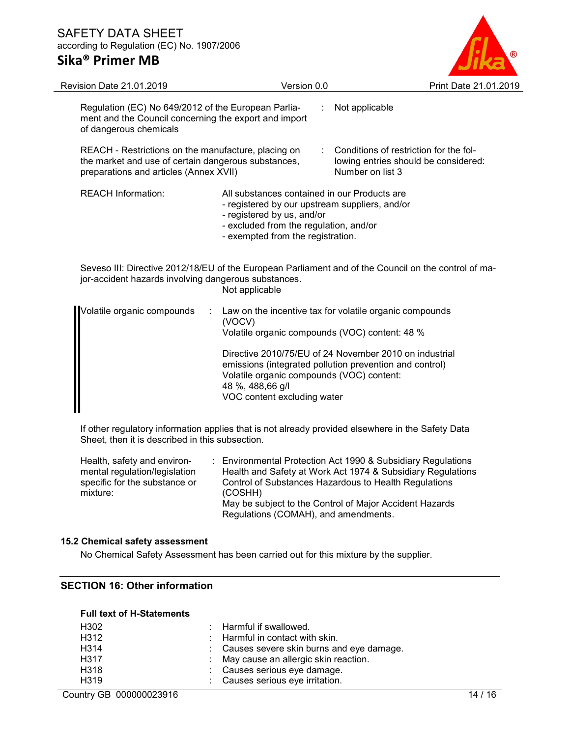

| Version 0.0                                                                                                                                                                                                 | Print Date 21.01.2019                                                                                                                                                                                                                                                                                                        |
|-------------------------------------------------------------------------------------------------------------------------------------------------------------------------------------------------------------|------------------------------------------------------------------------------------------------------------------------------------------------------------------------------------------------------------------------------------------------------------------------------------------------------------------------------|
|                                                                                                                                                                                                             | Not applicable                                                                                                                                                                                                                                                                                                               |
|                                                                                                                                                                                                             | Conditions of restriction for the fol-<br>lowing entries should be considered:<br>Number on list 3                                                                                                                                                                                                                           |
| All substances contained in our Products are<br>- registered by our upstream suppliers, and/or<br>- registered by us, and/or<br>- excluded from the regulation, and/or<br>- exempted from the registration. |                                                                                                                                                                                                                                                                                                                              |
| Not applicable                                                                                                                                                                                              | Seveso III: Directive 2012/18/EU of the European Parliament and of the Council on the control of ma-                                                                                                                                                                                                                         |
| (VOCV)<br>Volatile organic compounds (VOC) content: 48 %<br>Volatile organic compounds (VOC) content:<br>48 %, 488,66 g/l<br>VOC content excluding water                                                    | Law on the incentive tax for volatile organic compounds<br>Directive 2010/75/EU of 24 November 2010 on industrial<br>emissions (integrated pollution prevention and control)                                                                                                                                                 |
|                                                                                                                                                                                                             | Regulation (EC) No 649/2012 of the European Parlia-<br>ment and the Council concerning the export and import<br>REACH - Restrictions on the manufacture, placing on<br>the market and use of certain dangerous substances,<br>preparations and articles (Annex XVII)<br>jor-accident hazards involving dangerous substances. |

If other regulatory information applies that is not already provided elsewhere in the Safety Data Sheet, then it is described in this subsection.

Health, safety and environmental regulation/legislation specific for the substance or mixture: : Environmental Protection Act 1990 & Subsidiary Regulations Health and Safety at Work Act 1974 & Subsidiary Regulations Control of Substances Hazardous to Health Regulations (COSHH) May be subject to the Control of Major Accident Hazards Regulations (COMAH), and amendments.

#### 15.2 Chemical safety assessment

No Chemical Safety Assessment has been carried out for this mixture by the supplier.

## SECTION 16: Other information

#### Full text of H-Statements

| H302              | $\therefore$ Harmful if swallowed.         |
|-------------------|--------------------------------------------|
| H <sub>3</sub> 12 | $\therefore$ Harmful in contact with skin. |
| H <sub>3</sub> 14 | : Causes severe skin burns and eye damage. |
| H <sub>3</sub> 17 | : May cause an allergic skin reaction.     |
| H <sub>3</sub> 18 | : Causes serious eye damage.               |
| H319              | : Causes serious eye irritation.           |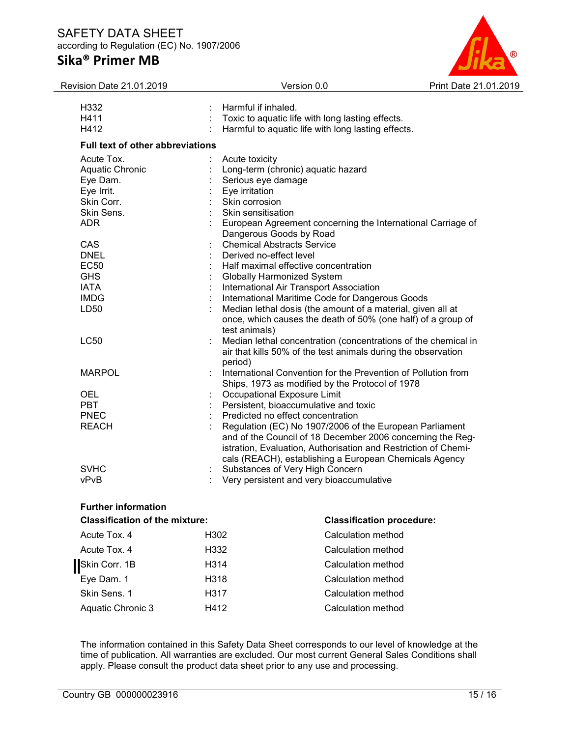

| Revision Date 21.01.2019                | Version 0.0                                                                                                                                                                             | Print Date 21.01.2019 |
|-----------------------------------------|-----------------------------------------------------------------------------------------------------------------------------------------------------------------------------------------|-----------------------|
| H332                                    | Harmful if inhaled.                                                                                                                                                                     |                       |
| H411                                    | Toxic to aquatic life with long lasting effects.                                                                                                                                        |                       |
| H412                                    | Harmful to aquatic life with long lasting effects.                                                                                                                                      |                       |
| <b>Full text of other abbreviations</b> |                                                                                                                                                                                         |                       |
| Acute Tox.                              | Acute toxicity                                                                                                                                                                          |                       |
| Aquatic Chronic                         | Long-term (chronic) aquatic hazard                                                                                                                                                      |                       |
| Eye Dam.                                | Serious eye damage                                                                                                                                                                      |                       |
| Eye Irrit.                              | Eye irritation                                                                                                                                                                          |                       |
| Skin Corr.                              | Skin corrosion                                                                                                                                                                          |                       |
| Skin Sens.                              | Skin sensitisation                                                                                                                                                                      |                       |
| <b>ADR</b>                              | European Agreement concerning the International Carriage of<br>Dangerous Goods by Road                                                                                                  |                       |
| CAS                                     | <b>Chemical Abstracts Service</b>                                                                                                                                                       |                       |
| <b>DNEL</b>                             | Derived no-effect level                                                                                                                                                                 |                       |
| <b>EC50</b>                             | Half maximal effective concentration                                                                                                                                                    |                       |
| <b>GHS</b>                              | <b>Globally Harmonized System</b>                                                                                                                                                       |                       |
| <b>IATA</b>                             | International Air Transport Association                                                                                                                                                 |                       |
| <b>IMDG</b>                             | International Maritime Code for Dangerous Goods                                                                                                                                         |                       |
| LD50                                    | Median lethal dosis (the amount of a material, given all at                                                                                                                             |                       |
|                                         | once, which causes the death of 50% (one half) of a group of<br>test animals)                                                                                                           |                       |
| <b>LC50</b>                             | Median lethal concentration (concentrations of the chemical in                                                                                                                          |                       |
|                                         | air that kills 50% of the test animals during the observation<br>period)                                                                                                                |                       |
| <b>MARPOL</b>                           | International Convention for the Prevention of Pollution from                                                                                                                           |                       |
|                                         | Ships, 1973 as modified by the Protocol of 1978                                                                                                                                         |                       |
| <b>OEL</b>                              | Occupational Exposure Limit                                                                                                                                                             |                       |
| <b>PBT</b>                              | Persistent, bioaccumulative and toxic                                                                                                                                                   |                       |
| <b>PNEC</b>                             | Predicted no effect concentration                                                                                                                                                       |                       |
| <b>REACH</b>                            | Regulation (EC) No 1907/2006 of the European Parliament<br>and of the Council of 18 December 2006 concerning the Reg-<br>istration, Evaluation, Authorisation and Restriction of Chemi- |                       |
|                                         | cals (REACH), establishing a European Chemicals Agency                                                                                                                                  |                       |
| <b>SVHC</b>                             | Substances of Very High Concern                                                                                                                                                         |                       |
| vPvB                                    | Very persistent and very bioaccumulative                                                                                                                                                |                       |

## Further information

The information contained in this Safety Data Sheet corresponds to our level of knowledge at the time of publication. All warranties are excluded. Our most current General Sales Conditions shall apply. Please consult the product data sheet prior to any use and processing.